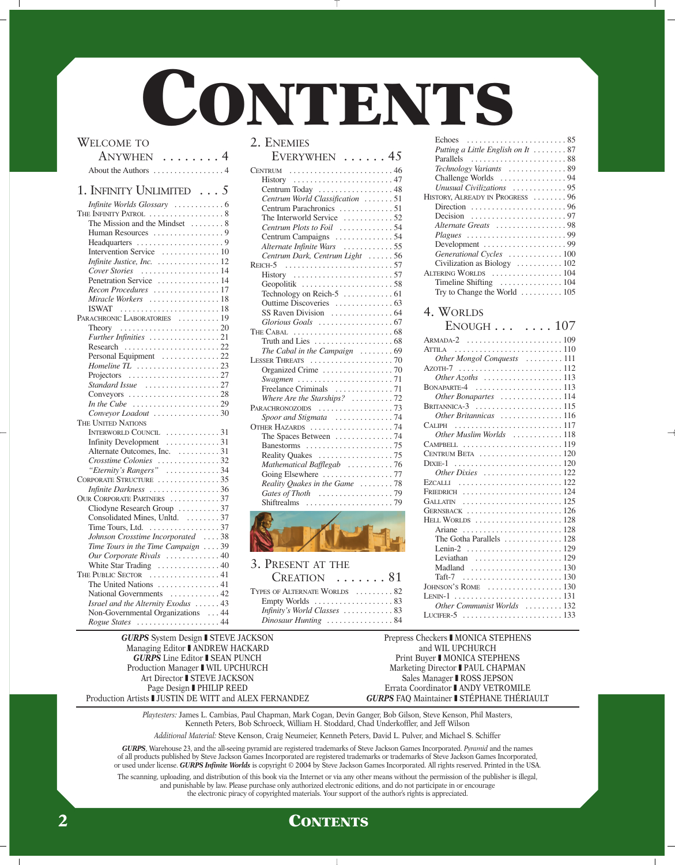# CONTENTS

## WELCOME TO

| $ANYWHEN$ 4 |  |  |  |  |  |  |  |  |
|-------------|--|--|--|--|--|--|--|--|
|             |  |  |  |  |  |  |  |  |

#### 1. INFINITY UNLIMITED . . . 5

| Infinite Worlds Glossary  6                                  |  |
|--------------------------------------------------------------|--|
| THE INFINITY PATROL  8                                       |  |
| The Mission and the Mindset $\dots \dots$ 8                  |  |
|                                                              |  |
|                                                              |  |
| Intervention Service  10                                     |  |
| Infinite Justice, Inc.  12                                   |  |
| Cover Stories  14                                            |  |
| Penetration Service  14                                      |  |
| Recon Procedures 17                                          |  |
| Miracle Workers  18                                          |  |
| ISWAT 18                                                     |  |
| PARACHRONIC LABORATORIES  19                                 |  |
| Theory $\ldots \ldots \ldots \ldots \ldots \ldots \ldots 20$ |  |
|                                                              |  |
|                                                              |  |
| Personal Equipment  22                                       |  |
|                                                              |  |
|                                                              |  |
|                                                              |  |
|                                                              |  |
| In the Cube $\ldots \ldots \ldots \ldots \ldots \ldots 29$   |  |
| Conveyor Loadout 30                                          |  |
| THE UNITED NATIONS                                           |  |
| INTERWORLD COUNCIL 31                                        |  |
| Infinity Development 31                                      |  |
| Alternate Outcomes, Inc. 31                                  |  |
| Crosstime Colonies 32                                        |  |
|                                                              |  |
| "Eternity's Rangers" 34<br>CORPORATE STRUCTURE 35            |  |
| Infinite Darkness 36                                         |  |
| OUR CORPORATE PARTNERS 37                                    |  |
| Cliodyne Research Group  37                                  |  |
| Consolidated Mines, Unltd. 37                                |  |
| Time Tours, Ltd. 37                                          |  |
| Johnson Crosstime Incorporated  38                           |  |
| Time Tours in the Time Campaign  39                          |  |
| Our Corporate Rivals  40                                     |  |
| White Star Trading  40                                       |  |
| THE PUBLIC SECTOR  41                                        |  |
| The United Nations  41                                       |  |
| National Governments  42                                     |  |
| Israel and the Alternity Exodus  43                          |  |
| Non-Governmental Organizations  44                           |  |
| Rogue States  44                                             |  |
|                                                              |  |

*GURPS* System Design ❚ STEVE JACKSON Managing Editor ❚ ANDREW HACKARD **GURPS** Line Editor **I** SEAN PUNCH Production Manager ❚ WIL UPCHURCH Art Director I STEVE JACKSON Page Design ❚ PHILIP REED Production Artists ❚ JUSTIN DE WITT and ALEX FERNANDEZ

# 2. ENEMIES

| EVERYWHEN $\dots$ . 45                                             |
|--------------------------------------------------------------------|
| $C\text{ENTRUM}$ 46                                                |
|                                                                    |
| Centrum Today  48                                                  |
| Centrum World Classification 51                                    |
| Centrum Parachronics 51                                            |
| The Interworld Service 52                                          |
| Centrum Plots to Foil $\ldots \ldots \ldots 54$                    |
| Centrum Campaigns 54                                               |
| Alternate Infinite Wars 55                                         |
| Centrum Dark, Centrum Light  56                                    |
| $REICH-5$ 57                                                       |
| $History \dots \dots \dots \dots \dots \dots \dots \dots \dots 57$ |
|                                                                    |
| Technology on Reich-5 $\dots \dots \dots \dots 61$                 |
|                                                                    |
|                                                                    |
|                                                                    |
| THE CABAL $\,\ldots\ldots\ldots\ldots\ldots\ldots\ldots\ldots\,68$ |
|                                                                    |
| The Cabal in the Campaign  69                                      |
| LESSER THREATS 70                                                  |
|                                                                    |
|                                                                    |
|                                                                    |
| Where Are the Starships? 72                                        |
|                                                                    |
|                                                                    |
| OTHER HAZARDS 74                                                   |
|                                                                    |
|                                                                    |
| Mathematical Bafflegab 76                                          |
| Going Elsewhere 77                                                 |
| Reality Quakes in the Game  78                                     |
|                                                                    |
|                                                                    |
|                                                                    |



#### 3. PRESENT AT THE

| $CREATION$ 81                                    |  |
|--------------------------------------------------|--|
| TYPES OF ALTERNATE WORLDS  82                    |  |
| Empty Worlds $\dots\dots\dots\dots\dots\dots 83$ |  |
| Infinity's World Classes  83                     |  |
| $Dinosaur Hunting$ 84                            |  |

| Putting a Little English on It $\ldots \ldots$ . 87          |
|--------------------------------------------------------------|
|                                                              |
| Technology Variants  89                                      |
|                                                              |
| Unusual Civilizations 95                                     |
| HISTORY, ALREADY IN PROGRESS  96                             |
|                                                              |
|                                                              |
| Alternate Greats 98                                          |
|                                                              |
| Development $\ldots \ldots \ldots \ldots \ldots \ldots$ . 99 |
| Generational Cycles 100                                      |
| Civilization as Biology $\dots \dots \dots \dots 102$        |
| ALTERING WORLDS  104                                         |
| Timeline Shifting $\dots \dots \dots \dots \dots \dots 104$  |
| Try to Change the World $\dots \dots \dots \dots 105$        |
|                                                              |

#### 4. WORLDS

| $ENOUGH$ $107$                                                   |  |
|------------------------------------------------------------------|--|
|                                                                  |  |
| ATTILA                                                           |  |
| Other Mongol Conquests  111                                      |  |
| AZOTH-7 112                                                      |  |
| Other Azoths 113                                                 |  |
| BONAPARTE- $4$ 113                                               |  |
| Other Bonapartes 114                                             |  |
| BRITANNICA-3 115                                                 |  |
| Other Britannicas 116                                            |  |
| CALIPH 117                                                       |  |
| Other Muslim Worlds  118                                         |  |
| CAMPBELL 119                                                     |  |
| CENTRUM BETA $\ldots \ldots \ldots \ldots \ldots 120$            |  |
| $DixIE-1$                                                        |  |
| Other Dixies  122                                                |  |
| <b>EZCALLI</b>                                                   |  |
| FRIEDRICH 124                                                    |  |
| GALLATIN 125                                                     |  |
| GERNSBACK $\ldots \ldots \ldots \ldots \ldots \ldots 126$        |  |
| HELL WORLDS $\ldots \ldots \ldots \ldots \ldots \ldots 128$      |  |
| Ariane 128                                                       |  |
| The Gotha Parallels $\dots \dots \dots \dots 128$                |  |
|                                                                  |  |
| Leviathan $\ldots \ldots \ldots \ldots \ldots \ldots 129$        |  |
| Madland $\ldots \ldots \ldots \ldots \ldots \ldots 130$          |  |
|                                                                  |  |
| JOHNSON'S ROME $\ldots \ldots \ldots \ldots \ldots 130$          |  |
|                                                                  |  |
| Other Communist Worlds  132                                      |  |
| LUCIFER-5 $\ldots \ldots \ldots \ldots \ldots \ldots \ldots 133$ |  |

Prepress Checkers ❚ MONICA STEPHENS and WIL UPCHURCH Print Buyer ∎ MONICA STEPHENS Marketing Director ❚ PAUL CHAPMAN Sales Manager ❚ ROSS JEPSON Errata Coordinator ❚ ANDY VETROMILE *GURPS* FAQ Maintainer ❚ STÉPHANE THÉRIAULT

*Playtesters:* James L. Cambias, Paul Chapman, Mark Cogan, Devin Ganger, Bob Gilson, Steve Kenson, Phil Masters, Kenneth Peters, Bob Schroeck, William H. Stoddard, Chad Underkoffler, and Jeff Wilson

*Additional Material:* Steve Kenson, Craig Neumeier, Kenneth Peters, David L. Pulver, and Michael S. Schiffer

*GURPS*, Warehouse 23, and the all-seeing pyramid are registered trademarks of Steve Jackson Games Incorporated. *Pyramid* and the names of all products published by Steve Jackson Games Incorporated are registered trademarks or trademarks of Steve Jackson Games Incorporated,<br>or used under license. GURPS Infinite Worlds is copyright © 2004 by Steve Jackson G

The scanning, uploading, and distribution of this book via the Internet or via any other means without the permission of the publisher is illegal, and punishable by law. Please purchase only authorized electronic editions, and do not participate in or encourage the electronic piracy of copyrighted materials. Your support of the author's rights is appreciated.

# **2** CONTENTS